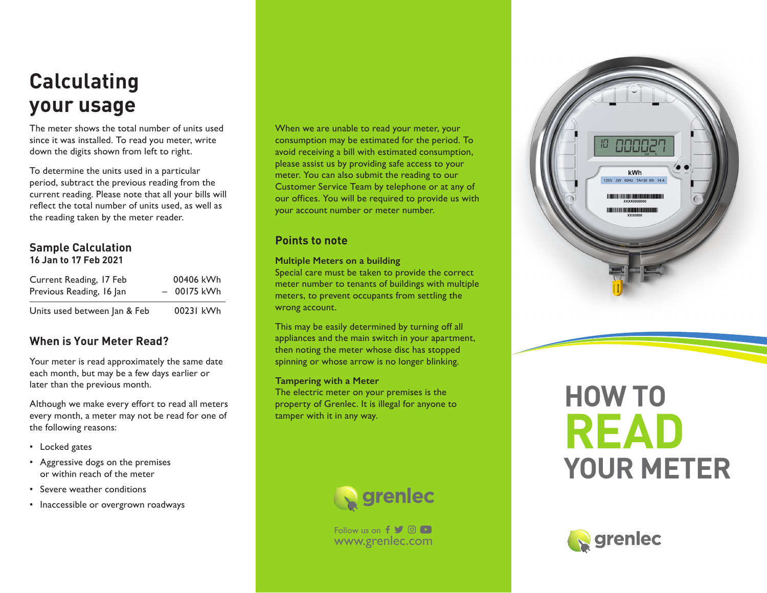# **Calculating your usage**

The meter shows the total number of units used since it was installed. To read you meter, write down the digits shown from left to right.

To determine the units used in a particular period, subtract the previous reading from the current reading. Please note that all your bills will reflect the total number of units used, as well as the reading taken by the meter reader.

### **Sample Calculation 16 Jan to 17 Feb 2021**

| Current Reading, 17 Feb      | 00406 kWh    |
|------------------------------|--------------|
| Previous Reading, 16 Jan     | $-00175$ kWh |
| Units used between Jan & Feb | 00231 kWh    |

# **When is Your Meter Read?**

Your meter is read approximately the same date each month, but may be a few days earlier or later than the previous month.

Although we make every effort to read all meters every month, a meter may not be read for one of the following reasons:

- Locked gates
- Aggressive dogs on the premises or within reach of the meter
- Severe weather conditions
- Inaccessible or overgrown roadways

When we are unable to read your meter, your consumption may be estimated for the period. To avoid receiving a bill with estimated consumption, please assist us by providing safe access to your meter. You can also submit the reading to our Customer Service Team by telephone or at any of our offices. You will be required to provide us with your account number or meter number.

## **Points to note**

#### **Multiple Meters on a building**

Special care must be taken to provide the correct meter number to tenants of buildings with multiple meters, to prevent occupants from settling the wrong account.

This may be easily determined by turning off all appliances and the main switch in your apartment, then noting the meter whose disc has stopped spinning or whose arrow is no longer blinking.

#### **Tampering with a Meter**

The electric meter on your premises is the property of Grenlec. It is illegal for anyone to tamper with it in any way.



www.grenlec.com Follow us on  $f \circ \circ$ 



# **HOW TO READ YOUR METER**